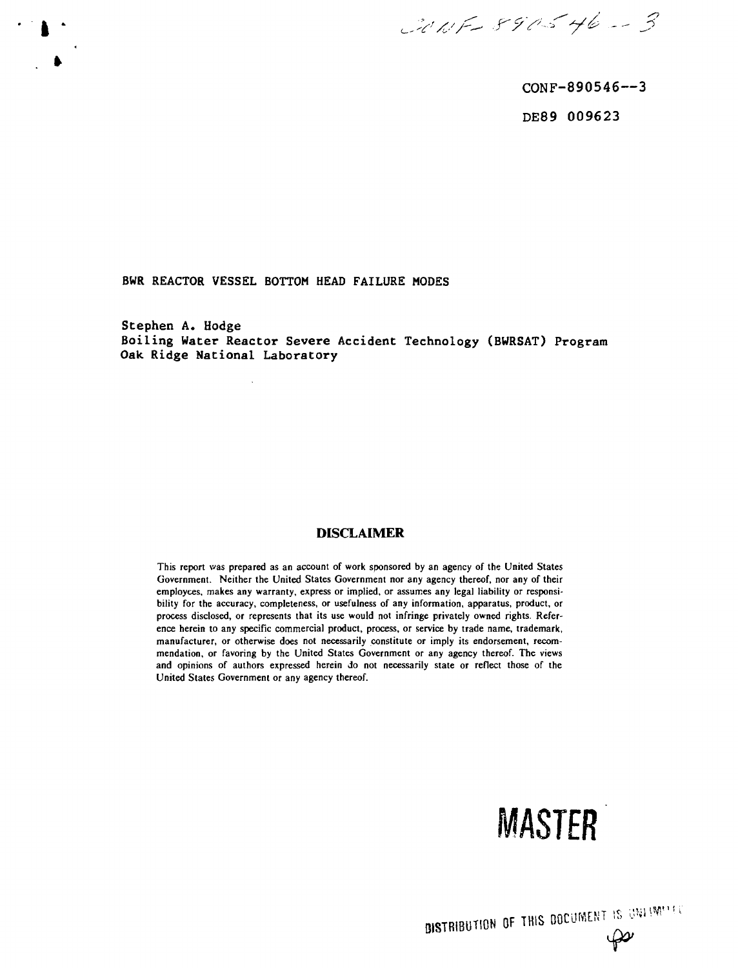CONF 890546-3

CONF-890546—3 DE89 009623

**BWR REACTOR VESSEL BOTTOM HEAD FAILURE MODES**

**Stephen A. Hodge Boiling Water Reactor Severe Accident Technology (BWRSAT) Program Oak Ridge National Laboratory**

# **DISCLAIMER**

This report was prepared as an account of work sponsored by an agency of the United States Government. Neither the United States Government nor any agency thereof, nor any of their employees, makes any warranty, express or implied, or assumes any legal liability or responsibility for the accuracy, completeness, or usefulness of any information, apparatus, product, or process disclosed, or represents that its use would not infringe privately owned rights. Reference herein to any specific commercial product, process, or service by trade name, trademark, manufacturer, or otherwise does not necessarily constitute or imply its endorsement, recommendation, or favoring by the United States Government or any agency thereof. The views and opinions of authors expressed herein Jo not necessarily state or reflect those of the United States Government or any agency thereof.



**DISTRIBUTION OF THIS DOCUMENT IS ONLIMITED**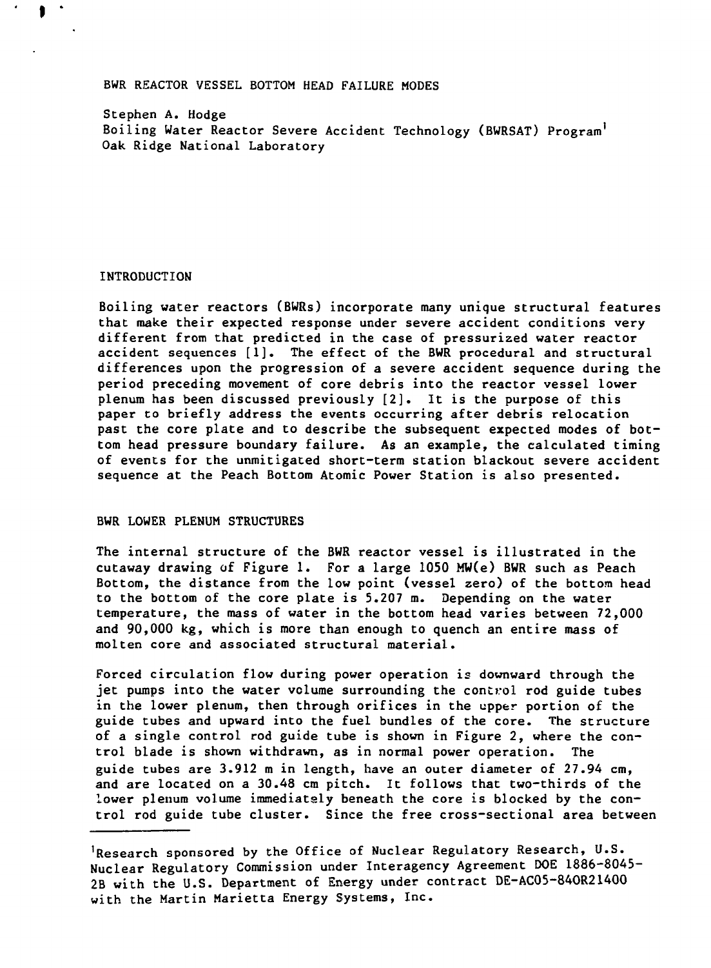# **BWR REACTOR VESSEL BOTTOM HEAD FAILURE MODES**

**Stephen A. Hodge Boiling Water Reactor Severe Accident Technology (BWRSAT) Program<sup>1</sup> Oak Ridge National Laboratory**

### **INTRODUCTION**

**Boiling water reactors (BWRs) incorporate many unique structural features that make their expected response under severe accident conditions very different from that predicted in the case of pressurized water reactor accident sequences [1]. The effect of the BWR procedural and structural differences upon the progression of a severe accident sequence during the period preceding movement of core debris into the reactor vessel lower plenum has been discussed previously [2]. It is the purpose of this paper to briefly address the events occurring after debris relocation past the core plate and to describe the subsequent expected modes of bottom head pressure boundary failure. As an example, the calculated timing of events for the unmitigated short-term station blackout severe accident sequence at the Peach Bottom Atomic Power Station is also presented.**

# **BWR LOWER PLENUM STRUCTURES**

**The internal structure of the BWR reactor vessel is illustrated in the cutaway drawing of Figure 1. For a large 1050 MW(e) BWR such as Peach Bottom, the distance from the low point (vessel zero) of the bottom head to the bottom of the core plate is 5.207 m. Depending on the water temperature, the mass of water in the bottom head varies between 72,000 and 90,000 kg, which is more than enough to quench an entire mass of molten core and associated structural material.**

**Forced circulation flow during power operation is downward through the jet pumps into the water volume surrounding the control rod guide tubes in the lower plenum, then through orifices in the upper portion of the guide tubes and upward into the fuel bundles of the core. The structure of a single control rod guide tube is shown in Figure 2, where the control blade is shown withdrawn, as in normal power operation. The guide tubes are 3.912 m in length, have an outer diameter of 27.94 cm, and are located on a 30.48 cm pitch. It follows that two-thirds of the lower plenum volume immediately beneath the core is blocked by the control rod guide tube cluster. Since the free cross-sectional area between**

**<sup>&#</sup>x27;Research sponsored by the Office of Nuclear Regulatory Research, U.S. Nuclear Regulatory Commission under Interagency Agreement DOE 1886-8045- 2B with the U.S. Department of Energy under contract DE-AC05-84OR21400 with the Martin Marietta Energy Systems, Inc.**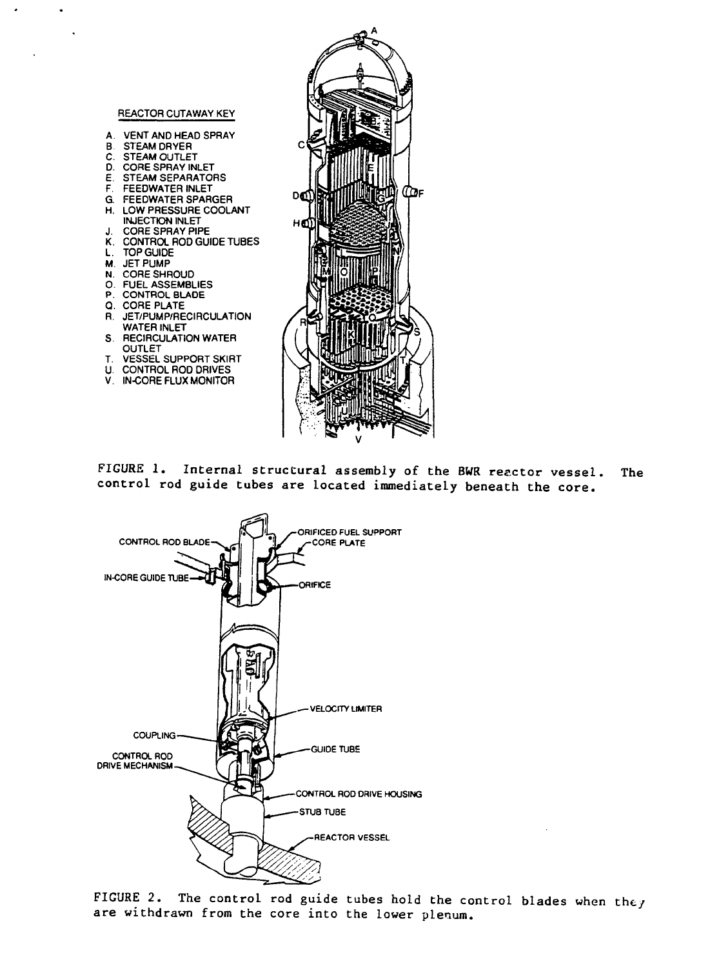

#### **REACTOR CUTAWAY KEY**

- **A. VENT AND HEAD SPRAY**
- **B. STEAM DRYER**
- **C. STEAM OUTLET**
- **D. CORE SPRAY INLET**
- **E. STEAM SEPARATORS**
- **F. FEEDWATER INLET**
- **G FEEDWATER SPARGER**
- **H. LOW PRESSURE COOLANT INJECTION INLET**
- **J. CORE SPRAY PIPE**
- **K. CONTROL ROD GUIDE TUBES**
- **L. TOP GUIDE**
- **M. JET PUMP**
- 
- **N. CORE SHROUD**
- **0. FUEL ASSEMBLIES**
- **P. CONTROL BLADE**
- **Q. CORE PLATE**
- **R. JET/PUMP/RECIRCULATION WATER INLET**
- **S. RECIRCULATION WATER OUTLET**
- **T. VESSEL SUPPORT SKIRT**
- **U. CONTROL ROD DRIVES**
- **V. IN-CORE FLUX MONITOR**

FIGURE 1. Internal structural assembly of the BWR reactor vessel. control rod guide tubes are located immediately beneath the core. The



FIGURE 2. The control rod guide tubes hold the control blades when they are withdrawn from the core into the lower plenum.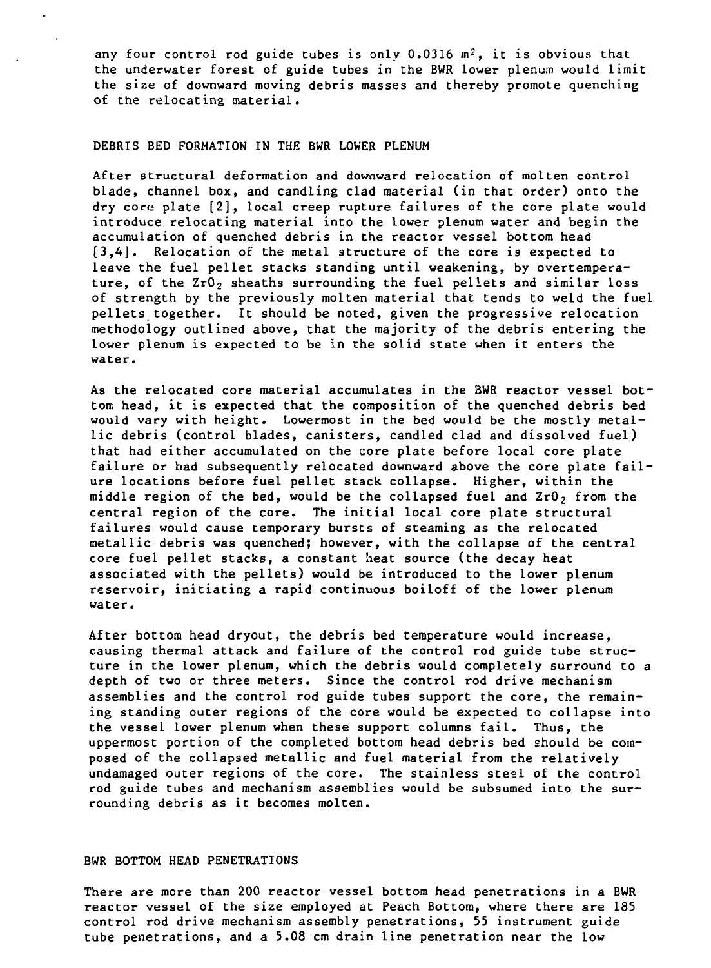**any four control rod guide tubes is only 0.0316 m<sup>2</sup>, it is obvious that the underwater forest of guide tubes in the BWR lower plenum would limit the size of downward moving debris masses and thereby promote quenching of the relocating material.**

# **DEBRIS BED FORMATION IN THE BWR LOWER PLENUM**

**After structural deformation and downward relocation of molten control blade, channel box, and candling clad material (in that order) onto the dry core plate [2], local creep rupture failures of the core plate would introduce relocating material into the lower plenum water and begin the accumulation of quenched debris in the reactor vessel bottom head [3,4]. Relocation of the metal structure of the core is expected to leave the fuel pellet stacks standing until weakening, by overtempera**ture, of the ZrO<sub>2</sub> sheaths surrounding the fuel pellets and similar loss **of strength by the previously molten material that tends to weld the fuel pellets together. It should be noted, given the progressive relocation methodology outlined above, that the majority of the debris entering the lower plenum is expected to be in the solid state when it enters the water.**

**As the relocated core material accumulates in the 3WR reactor vessel bottom head, it is expected that the composition of the quenched debris bed would vary with height. Lowermost in the bed would be the mostly metallic debris (control blades, canisters, candled clad and dissolved fuel) that had either accumulated on the core plate before local core plate failure or had subsequently relocated downward above the core plate failure locations before fuel pellet stack collapse. Higher, within the middle region of the bed, would be the collapsed fuel and ZrO2 from the central region of the core. The initial local core plate structural failures would cause temporary bursts of steaming as the relocated metallic debris was quenched; however, with the collapse of the central core fuel pellet stacks, a constant heat source (the decay heat associated with the pellets) would be introduced to the lower plenum reservoir, initiating a rapid continuous boiloff of the lower plenum water.**

**After bottom head dryout, the debris bed temperature would increase, causing thermal attack and failure of the control rod guide tube structure in the lower plenum, which the debris would completely surround to a depth of two or three meters. Since the control rod drive mechanism assemblies and the control rod guide tubes support the core, the remaining standing outer regions of the core would be expected to collapse into the vessel lower plenum when these support columns fail. Thus, the uppermost portion of the completed bottom head debris bed should be composed of the collapsed metallic and fuel material from the relatively undamaged outer regions of the core. The stainless steel of the control rod guide tubes and mechanism assemblies would be subsumed into the surrounding debris as it becomes molten.**

#### **BWR BOTTOM HEAD PENETRATIONS**

**There are more than 200 reactor vessel bottom head penetrations in a BWR reactor vessel of the size employed at Peach Bottom, where there are 185 control rod drive mechanism assembly penetrations, 55 instrument guide tube penetrations, and a 5.08 cm drain line penetration near the low**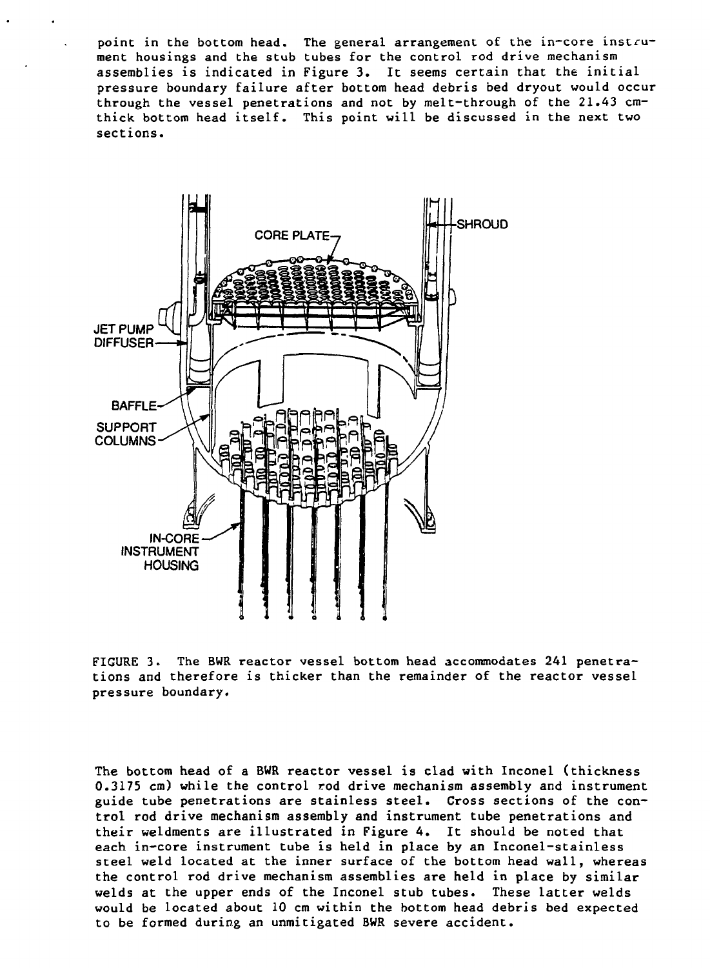**point in the bottom head. The general arrangement of the in-core instrument housings and the stub tubes for the control rod drive mechanism assemblies is indicated in Figure 3. It seems certain that the initial pressure boundary failure after bottom head debris bed dryout would occur through the vessel penetrations and not by melt-through of the 21.43 cmthick bottom head itself. This point will be discussed in the next two sections.**



**FIGURE 3. The BWR reactor vessel bottom head accommodates 241 penetrations and therefore is thicker than the remainder of the reactor vessel pressure boundary.**

**The bottom head of a BWR reactor vessel is clad with Inconel (thickness 0.3175 cm) while the control rod drive mechanism assembly and instrument guide tube penetrations are stainless steel. Cross sections of the control rod drive mechanism assembly and instrument tube penetrations and their weldments are illustrated in Figure 4. It should be noted that each in-core instrument tube is held in place by an Inconel-stainless steel weld located at the inner surface of the bottom head wall, whereas the control rod drive mechanism assemblies are held in place by similar welds at the upper ends of the Inconel stub tubes. These latter welds would be located about 10 cm within the bottom head debris bed expected to be formed during an unmitigated BWR severe accident.**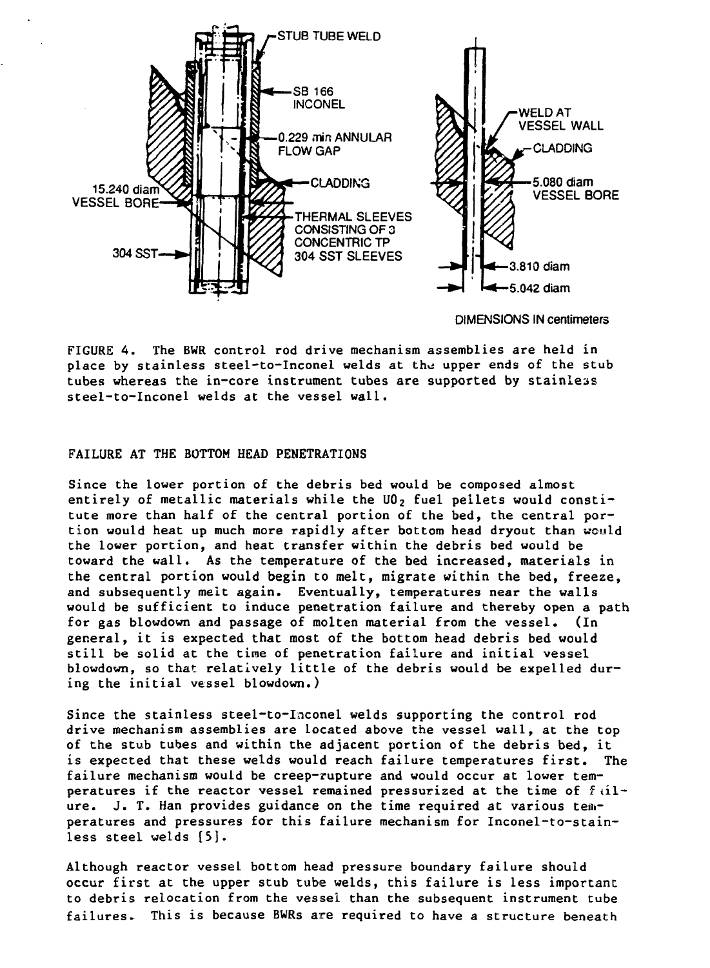

DIMENSIONS IN centimeters

**FIGURE 4. The BWR control rod drive mechanism assemblies are held in** place by stainless steel-to-Inconel welds at the upper ends of the stub **tubes whereas the in-core instrument tubes are supported by stainless steel-to-Inconel welds at the vessel wall.**

# **FAILURE AT THE BOTTOM HEAD PENETRATIONS**

**Since the lower portion of the debris bed would be composed almost entirely of metallic materials while the U02 fuel pellets would constitute more than half of the central portion of the bed, the central portion would heat up much more rapidly after bottom head dryout than would the lower portion, and heat transfer within the debris bed would be toward the wall. As the temperature of the bed increased, materials in the central portion would begin to melt, migrate within the bed, freeze, and subsequently melt again. Eventually, temperatures near the walls would be sufficient to induce penetration failure and thereby open a path for gas blowdown and passage of molten material from the vessel. (In general, it is expected that most of the bottom head debris bed would still be solid at the time of penetration failure and initial vessel blowdown, so that relatively little of the debris would be expelled during the initial vessel blowdown.)**

**Since the stainless steel-to-Inconel welds supporting the control rod drive mechanism assemblies are located above the vessel wall, at the top of the stub tubes and within the adjacent portion of the debris bed, it is expected that these welds would reach failure temperatures first. The failure mechanism would be creep-rupture and would occur at lower tem**peratures if the reactor vessel remained pressurized at the time of fil**ure. J. T. Han provides guidance on the time required at various temperatures and pressures for this failure mechanism for Inconel-to-stainless steel welds [5].**

**Although reactor vessel bottom head pressure boundary failure should occur first at the upper stub tube welds, this failure is less important to debris relocation from the vessel than the subsequent instrument tube failures. This is because BWRs are required to have a structure beneath**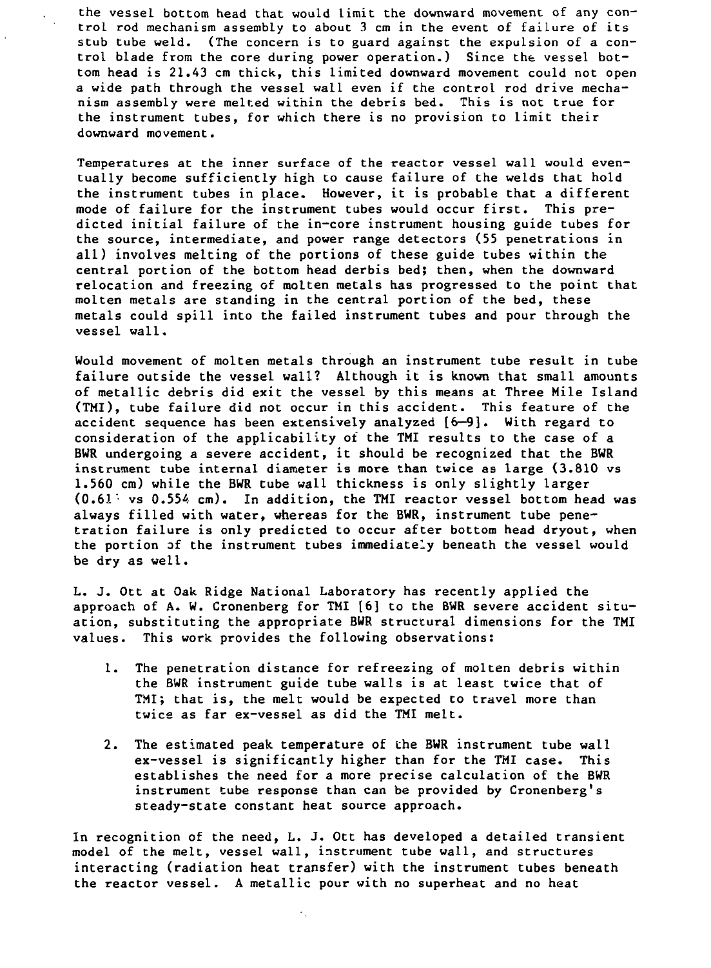**the vessel bottom head that would limit the downward movement of any control rod mechanism assembly to about 3 cm in the event of failure of its stub tube weld. (The concern is to guard against the expulsion of a control blade from the core during power operation.) Since the vessel bottom head is 21.43 cm thick, this limited downward movement could not open a wide path through the vessel wall even if the control rod drive mechanism assembly were melted within the debris bed. This is not true for the instrument tubes, for which there is no provision to limit their downward movement.**

**Temperatures at the inner surface of the reactor vessel wall would eventually become sufficiently high to cause failure of the welds that hold the instrument tubes in place. However, it is probable that a different mode of failure for the instrument tubes would occur first. This predicted initial failure of the in-core instrument housing guide tubes for the source, intermediate, and power range detectors (55 penetrations in all) involves melting of the portions of these guide tubes within the central portion of the bottom head derbis bed; then, when the downward relocation and freezing of molten metals has progressed to the point that molten metals are standing in the central portion of the bed, these metals could spill into the failed instrument tubes and pour through the vessel wall.**

**Would movement of molten metals through an instrument tube result in tube failure outside the vessel wall? Although it is known that small amounts of metallic debris did exit the vessel by this means at Three Mile Island (TMI), tube failure did not occur in this accident. This feature of the accident sequence has been extensively analyzed [6—9]. With regard to consideration of the applicability of the TMI results to the case of a BWR undergoing a severe accident, it should be recognized that the BWR instrument tube internal diameter is more than twice as large (3.810 vs 1.560 cm) while the BWR tube wall thickness is only slightly larger (0.61'• vs 0.554 cm). In addition, the TMI reactor vessel bottom head was always filled with water, whereas for the BWR, instrument tube penetration failure is only predicted to occur after bottom head dryout, when the portion of the instrument tubes immediately beneath the vessel would be dry as well.**

**L. J. Ott at Oak Ridge National Laboratory has recently applied the approach of A. W. Cronenberg for TMI [6] to the BWR severe accident situation, substituting the appropriate BWR structural dimensions for the TMI values. This work provides the following observations:**

- **1. The penetration distance for refreezing of molten debris within the BWR instrument guide tube walls is at least twice that of TMI; that is, the melt would be expected to travel more than twice as far ex-vessel as did the TMI melt.**
- **2. The estimated peak temperature of the BWR instrument tube wall ex-vessel is significantly higher than for the TMI case. This establishes the need for a more precise calculation of the BWR instrument tube response than can be provided by Cronenberg's steady-state constant heat source approach.**

**In recognition of the need, L. J. Ott has developed a detailed transient model of the melt, vessel wall, instrument tube wall, and structures interacting (radiation heat transfer) with the instrument tubes beneath the reactor vessel. A metallic pour with no superheat and no heat**

 $\boldsymbol{\cdot}$  .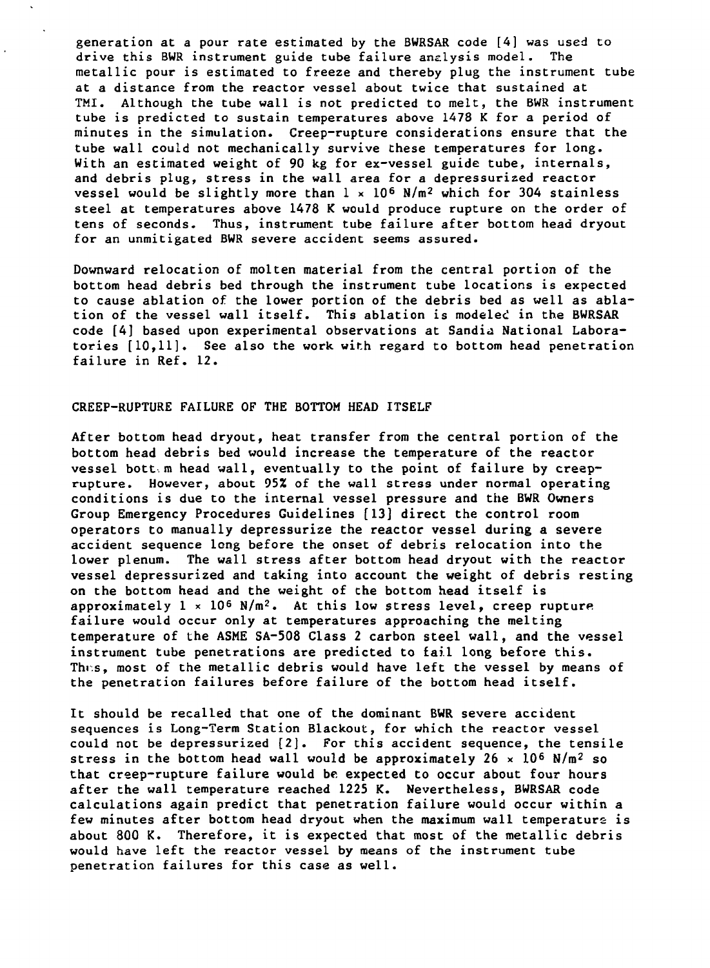**generation at a pour rate estimated by the BWRSAR code [4] was used to drive this BWR instrument guide tube failure analysis model. The metallic pour is estimated to freeze and thereby plug the instrument tube at a distance from the reactor vessel about twice that sustained at TMI. Although the tube wall is not predicted to melt, the BWR instrument tube is predicted to sustain temperatures above 1478 K for a period of minutes in the simulation. Creep-rupture considerations ensure that the tube wall could not mechanically survive these temperatures for long. With an estimated weight of 90 kg for ex-vessel guide tube, internals, and debris plug, stress in the wall area for a depressurized reactor vessel would be slightly more than 1 x 10<sup>6</sup> N/m<sup>2</sup> which for 304 stainless steel at temperatures above 1478 K would produce rupture on the order of tens of seconds. Thus, instrument tube failure after bottom head dryout for an unmitigated BWR severe accident seems assured.**

**Downward relocation of molten material from the central portion of the bottom head debris bed through the instrument tube locations is expected to cause ablation of the lower portion of the debris bed as well as ablation of the vessel wall itself. This ablation is modeled in the BWRSAR code [4] based upon experimental observations at Sandia National Laboratories [10,11]. See also the work with regard to bottom head penetration failure in Ref. 12.**

# **CREEP-RUPTURE FAILURE OF THE BOTTOM HEAD ITSELF**

**After bottom head dryout, heat transfer from the central portion of the bottom head debris bed would increase the temperature of the reactor vessel bott. m head wall, eventually to the point of failure by creeprupture. However, about 95% of the wall stress under normal operating conditions is due to the internal vessel pressure and the BWR Owners Group Emergency Procedures Guidelines [13] direct the control room operators to manually depressurize the reactor vessel during a severe accident sequence long before the onset of debris relocation into the lower plenum. The wall stress after bottom head dryout with the reactor vessel depressurized and taking into account the weight of debris resting on the bottom head and the weight of the bottom head itself is approximately 1 \* 10<sup>6</sup> N/m<sup>3</sup>. At this low stress level, creep rupture failure would occur only at temperatures approaching the melting temperature of the ASME SA-508 Class 2 carbon steel wall, and the vessel instrument tube penetrations are predicted to fail long before this. This, most of the metallic debris would have left the vessel by means of the penetration failures before failure of the bottom head itself.**

**It should be recalled that one of the dominant BWR severe accident sequences is Long-Term Station Blackout, for which the reactor vessel could not be depressurized [2]. For this accident sequence, the tensile stress in the bottom head wall would be approximately 26 x 10<sup>6</sup> N/m<sup>2</sup> so that creep-rupture failure would be. expected to occur about four hours after the wall temperature reached 1225 K. Nevertheless, BWRSAR code calculations again predict that penetration failure would occur within a few minutes after bottom head dryout when the maximum wall temperature is about 800 K. Therefore, it is expected that most of the metallic debris would have left the reactor vessel by means of the instrument tube penetration failures for this case as well.**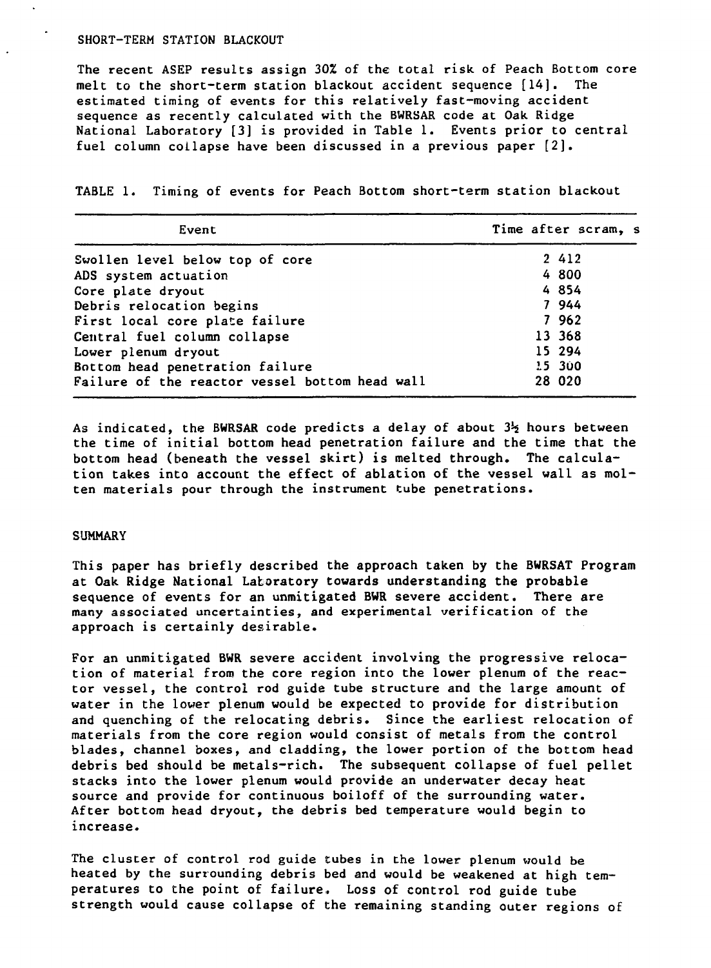### SHORT-TERM STATION BLACKOUT

The recent ASEP results assign 3QZ of the total risk of Peach Bottom core melt to the short-term station blackout accident sequence [14]. The estimated timing of events for this relatively fast-moving accident sequence as recently calculated with the BWRSAR code at Oak Ridge National Laboratory [3] is provided in Table 1. Events prior to central fuel column collapse have been discussed in a previous paper [2].

TABLE 1. Timing of events for Peach Bottom short-term station blackout

| Event                                          | Time after scram, s |
|------------------------------------------------|---------------------|
| Swollen level below top of core                | 2 4 1 2             |
| ADS system actuation                           | 4 800               |
| Core plate dryout                              | 4 854               |
| Debris relocation begins                       | 7 944               |
| First local core plate failure                 | 7 9 6 2             |
| Central fuel column collapse                   | 13 368              |
| Lower plenum dryout                            | 15 294              |
| Bottom head penetration failure                | 15 300              |
| Failure of the reactor vessel bottom head wall | 28 020              |

As indicated, the BWRSAR code predicts a delay of about  $3\frac{1}{2}$  hours between the time of initial bottom head penetration failure and the time that the bottom head (beneath the vessel skirt) is melted through. The calculation takes into account the effect of ablation of the vessel wall as molten materials pour through the instrument tube penetrations.

#### SUMMARY

This paper has briefly described the approach taken by the BWRSAT Program at Oak Ridge National Laboratory **towards understanding** the **probable** sequence of events for an unmitigated BWR severe accident. There are many associated uncertainties, and experimental verification of the approach is certainly desirable.

For an unmitigated BWR severe accident involving the progressive relocation of material from the core region into the lower plenum of the reactor vessel, the control rod guide tube structure and the large amount of water in the lower plenum would be expected to provide for distribution and quenching of the relocating debris. Since the earliest relocation of materials from the core region would consist of metals from the control blades, channel boxes, and cladding, the lower portion of the bottom head debris bed should be metals-rich. The subsequent collapse of fuel pellet stacks into the lower plenum would provide an underwater decay heat source and provide for continuous boiloff of the surrounding water. After bottom head dryout, the debris bed temperature would begin to increase.

The cluster of control rod guide tubes in the lower plenum would be heated by the surrounding debris bed and would be weakened at high temperatures to the point of failure. Loss of control rod guide tube strength would cause collapse of the remaining standing outer regions of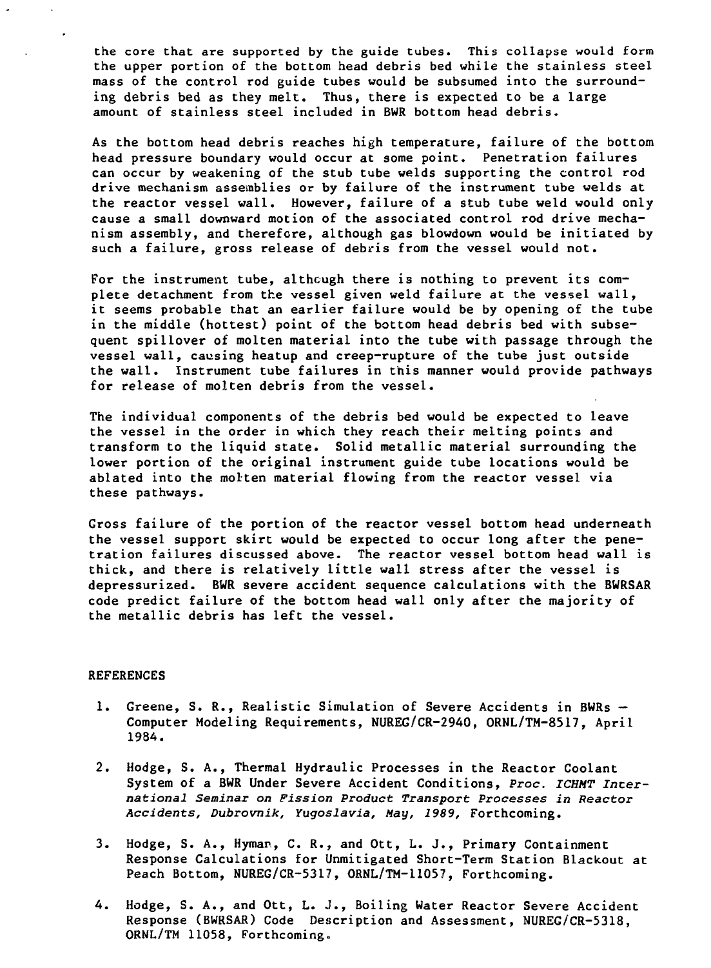the core that are supported by the guide tubes. This collapse would form **the upper portion of the bottom head debris bed while the stainless steel mass of the control rod guide tubes would be subsumed into the surrounding debris bed as they melt. Thus, there is expected to be a large amount of stainless steel included in BWR bottom head debris.**

**As the bottom head debris reaches high temperature, failure of the bottom head pressure boundary would occur at some point. Penetration failures can occur by weakening of the stub tube welds supporting the control rod drive mechanism assemblies or by failure of the instrument tube welds at the reactor vessel wall. However, failure of a stub tube weld would only cause a small downward motion of the associated control rod drive mechanism assembly, and therefore, although gas blowdown would be initiated by such a failure, gross release of debris from the vessel would not.**

**For the instrument tube, although there is nothing to prevent its complete detachment from the vessel given weld failure at the vessel wall, it seems probable that an earlier failure would be by opening of the tube in the middle (hottest) point of the bottom head debris bed with subsequent spillover of molten material into the tube with passage through the vessel wall, causing heatup and creep-rupture of the tube just outside the wall. Instrument tube failures in this manner would provide pathways for release of molten debris from the vessel.**

**The individual components of the debris bed would be expected to leave the vessel in the order in which they reach their melting points and transform to the liquid state. Solid metallic material surrounding the lower portion of the original instrument guide tube locations would be ablated into the molten material flowing from the reactor vessel via these pathways.**

**Gross failure of the portion of the reactor vessel bottom head underneath the vessel support skirt would be expected to occur long after the penetration failures discussed above. The reactor vessel bottom head wall is thick, and there is relatively little wall stress after the vessel is depressurized. BWR severe accident sequence calculations with the BWRSAR code predict failure of the bottom head wall only after the majority of the metallic debris has left the vessel.**

# **REFERENCES**

- **1. Greene, S. R., Realistic Simulation of Severe Accidents in BWRs — Computer Modeling Requirements, NUREG/CR-2940, ORNL/TM-8517, April 1984.**
- **2. Hodge, S. A., Thermal Hydraulic Processes in the Reactor Coolant System of a BWR Under Severe Accident Conditions, Proc. ICHMT Incernational Seminar on Fission Product Transport Processes in Reactor Accidents, Dubrovnik, Yugoslavia, May, 1989, Forthcoming.**
- **3. Hodge, S. A., Hyman, C. R., and Ott, L. J., Primary Containment Response Calculations for Unmitigated Short-Term Station Blackout at Peach Bottom, NUREG/CR-5317, ORNL/TM-11057, Forthcoming.**
- **4. Hodge, S. A., and Ott, L. J., Boiling Water Reactor Severe Accident Response (BWRSAR) Code Description and Assessment, NUREG/CR-5318, ORNL/TM 11058, Forthcoming.**